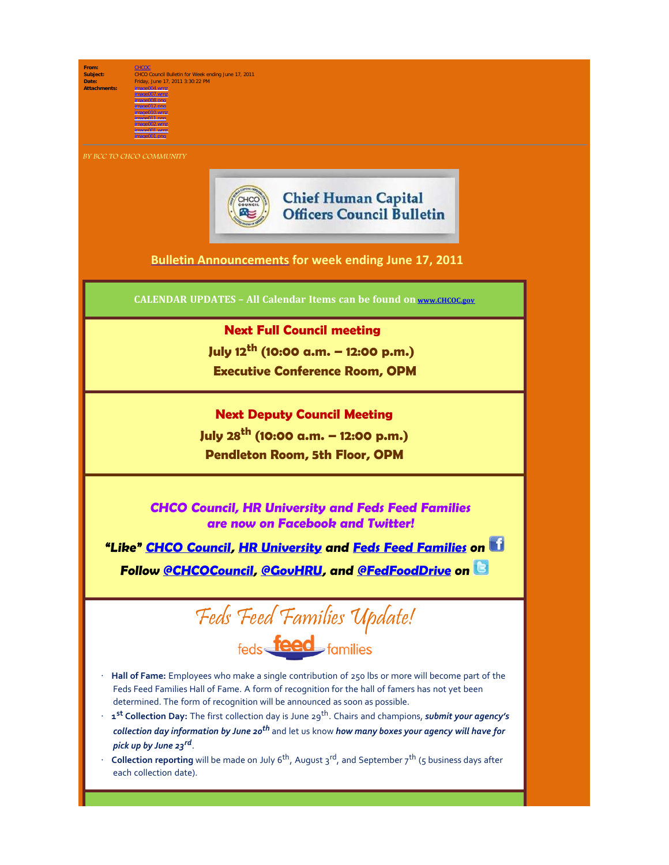From:<br>Subject:

**Subject:** CHCO Council Bulletin for Week ending June 17, 2011 **Date:** Friday, June 17, 2011 3:30:22 PM **Attachments:** image004.wmz image007.wmz

**BY BCC TO CHCO COMMUNITY** 

image008.png image012.png image010.wmz image011.png image002.wmz image001.wmz image001.png



**Chief Human Capital Officers Council Bulletin** 

## **[Bulletin Announcements](http://chcoc.gov/Transmittals/Index.aspx) for week ending June 17, 2011**

**CALENDAR UPDATES – All Calendar Items can be found on [www.CHCOC.gov](http://www.chcoc.gov/)**

## **Next Full Council meeting**

 **July 12th (10:00 a.m. – 12:00 p.m.) Executive Conference Room, OPM**

## **Next Deputy Council Meeting July 28th (10:00 a.m. – 12:00 p.m.)**

**Pendleton Room, 5th Floor, OPM**

**CHCO Council, HR University and Feds Feed Families are now on Facebook and Twitter!**

**"Like" [CHCO Council](http://www.facebook.com/home.php#!/pages/CHCO-Council/168795866510850), [HR University](http://www.facebook.com/home.php#!/pages/HR-University/223115527703335) and [Feds Feed Families](http://www.facebook.com/fedsfeedfamilies) on**

**Follow [@CHCOCouncil,](http://twitter.com/#!/chcocouncil) [@GovHRU,](http://twitter.com/#!/GovHRU) and [@FedFoodDrive](http://twitter.com/#!/fedfooddrive) on** 



- · **Hall of Fame:** Employees who make a single contribution of 250 lbs or more will become part of the Feds Feed Families Hall of Fame. A form of recognition for the hall of famers has not yet been determined. The form of recognition will be announced as soon as possible.
- 1<sup>st</sup> Collection Day: The first collection day is June 29<sup>th</sup>. Chairs and champions, *submit your agency's collection day information by June 20th* and let us know *how many boxes your agency will have for pick up by June 23rd*.
- **Collection reporting** will be made on July 6<sup>th</sup>, August 3<sup>rd</sup>, and September 7<sup>th</sup> (5 business days after each collection date).